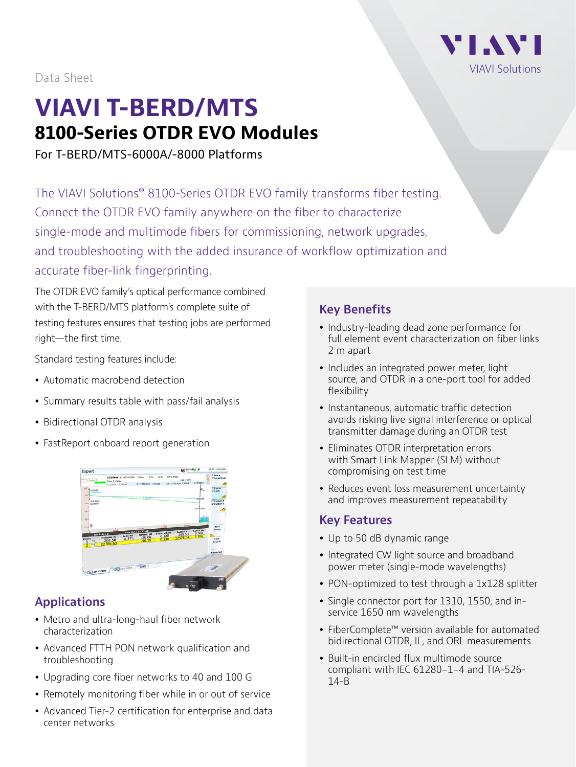

Data Sheet

# **VIAVI T-BERD/MTS 8100-Series OTDR EVO Modules**

For T-BERD/MTS-6000A/-8000 Platforms

The VIAVI Solutions® 8100-Series OTDR EVO family transforms fiber testing. Connect the OTDR EVO family anywhere on the fiber to characterize single-mode and multimode fibers for commissioning, network upgrades, and troubleshooting with the added insurance of workflow optimization and accurate fiber-link fingerprinting.

The OTDR EVO family's optical performance combined with the T-BERD/MTS platform's complete suite of testing features ensures that testing jobs are performed right—the first time.

Standard testing features include:

- Automatic macrobend detection
- Summary results table with pass/fail analysis
- Bidirectional OTDR analysis
- FastReport onboard report generation



# **Applications**

- Metro and ultra-long-haul fiber network characterization
- Advanced FTTH PON network qualification and troubleshooting
- Upgrading core fiber networks to 40 and 100 G
- Remotely monitoring fiber while in or out of service
- Advanced Tier-2 certification for enterprise and data center networks

### **Key Benefits**

- Industry-leading dead zone performance for full element event characterization on fiber links 2 m apart
- Includes an integrated power meter, light source, and OTDR in a one-port tool for added flexibility
- Instantaneous, automatic traffic detection avoids risking live signal interference or optical transmitter damage during an OTDR test
- Eliminates OTDR interpretation errors with Smart Link Mapper (SLM) without compromising on test time
- Reduces event loss measurement uncertainty and improves measurement repeatability

#### **Key Features**

- Up to 50 dB dynamic range
- Integrated CW light source and broadband power meter (single-mode wavelengths)
- PON-optimized to test through a 1x128 splitter
- Single connector port for 1310, 1550, and inservice 1650 nm wavelengths
- FiberComplete™ version available for automated bidirectional OTDR, IL, and ORL measurements
- Built-in encircled flux multimode source compliant with IEC 61280-1-4 and TIA-526- 14-B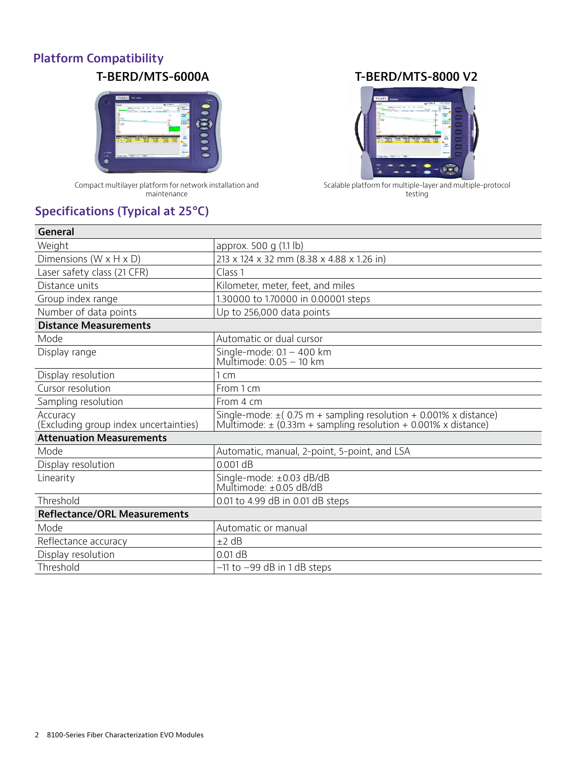# **Platform Compatibility**



Compact multilayer platform for network installation and maintenance

# **Specifications (Typical at 25°C)**

#### **T-BERD/MTS-6000A T-BERD/MTS-8000 V2**



Scalable platform for multiple-layer and multiple-protocol testing

| approx. 500 g (1.1 lb)                                                                                                                      |
|---------------------------------------------------------------------------------------------------------------------------------------------|
| 213 x 124 x 32 mm (8.38 x 4.88 x 1.26 in)                                                                                                   |
| Class <sub>1</sub>                                                                                                                          |
| Kilometer, meter, feet, and miles                                                                                                           |
| 1.30000 to 1.70000 in 0.00001 steps                                                                                                         |
| Up to 256,000 data points                                                                                                                   |
|                                                                                                                                             |
| Automatic or dual cursor                                                                                                                    |
| Single-mode: $0.1 - 400$ km<br>Multimode: 0.05 - 10 km                                                                                      |
| $1 \, \mathrm{cm}$                                                                                                                          |
| From 1 cm                                                                                                                                   |
| From 4 cm                                                                                                                                   |
| Single-mode: $\pm$ (0.75 m + sampling resolution + 0.001% x distance)<br>Multimode: $\pm$ (0.33m + sampling resolution + 0.001% x distance) |
|                                                                                                                                             |
| Automatic, manual, 2-point, 5-point, and LSA                                                                                                |
| 0.001 dB                                                                                                                                    |
| Single-mode: ±0.03 dB/dB<br>Multimode: ±0.05 dB/dB                                                                                          |
| 0.01 to 4.99 dB in 0.01 dB steps                                                                                                            |
|                                                                                                                                             |
| Automatic or manual                                                                                                                         |
| ±2 dB                                                                                                                                       |
| $0.01$ dB                                                                                                                                   |
| $-11$ to $-99$ dB in 1 dB steps                                                                                                             |
|                                                                                                                                             |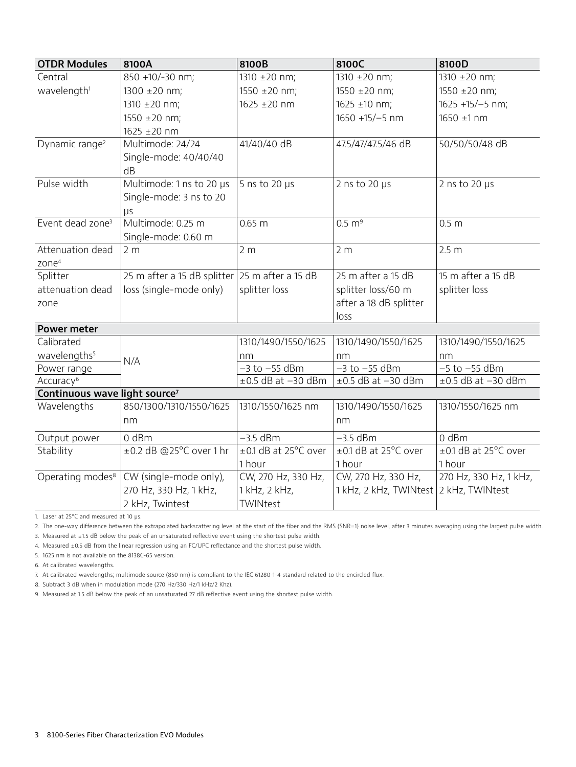| <b>OTDR Modules</b>                       | 8100A                                            | 8100B                        | 8100C                                  | 8100D                   |  |
|-------------------------------------------|--------------------------------------------------|------------------------------|----------------------------------------|-------------------------|--|
| Central                                   | 850 +10/-30 nm;                                  | 1310 ±20 nm;<br>1310 ±20 nm; |                                        | 1310 ±20 nm;            |  |
| wavelength <sup>1</sup>                   | 1300 ±20 nm;                                     | 1550 ±20 nm;                 | 1550 $\pm$ 20 nm;                      | 1550 ±20 nm;            |  |
|                                           | 1310 ±20 nm;                                     | 1625 ±20 nm                  | 1625 ±10 nm;                           | 1625 +15/-5 nm;         |  |
|                                           | 1550 ±20 nm;                                     |                              | 1650 +15/-5 nm                         | 1650 ±1 nm              |  |
|                                           | 1625 ±20 nm                                      |                              |                                        |                         |  |
| Dynamic range <sup>2</sup>                | Multimode: 24/24                                 | 41/40/40 dB                  | 47.5/47/47.5/46 dB                     | 50/50/50/48 dB          |  |
|                                           | Single-mode: 40/40/40                            |                              |                                        |                         |  |
|                                           | dB                                               |                              |                                        |                         |  |
| Pulse width                               | Multimode: 1 ns to 20 µs                         | 5 ns to 20 $\mu$ s           | 2 ns to 20 $\mu$ s                     | 2 ns to 20 $\mu$ s      |  |
|                                           | Single-mode: 3 ns to 20                          |                              |                                        |                         |  |
|                                           | μs                                               |                              |                                        |                         |  |
| Event dead zone <sup>3</sup>              | Multimode: 0.25 m                                | 0.65 m                       | $0.5 \text{ m}^9$                      | 0.5 <sub>m</sub>        |  |
|                                           | Single-mode: 0.60 m                              |                              |                                        |                         |  |
| Attenuation dead                          | 2 <sub>m</sub>                                   | 2 <sub>m</sub>               | 2 <sub>m</sub>                         | 2.5 <sub>m</sub>        |  |
| zone <sup>4</sup>                         |                                                  |                              |                                        |                         |  |
| Splitter                                  | 25 m after a 15 dB splitter $25$ m after a 15 dB |                              | 25 m after a 15 dB                     | 15 m after a 15 dB      |  |
| attenuation dead                          | loss (single-mode only)                          | splitter loss                | splitter loss/60 m                     | splitter loss           |  |
| zone                                      |                                                  |                              | after a 18 dB splitter                 |                         |  |
|                                           |                                                  |                              | loss                                   |                         |  |
| <b>Power meter</b>                        |                                                  |                              |                                        |                         |  |
| Calibrated                                |                                                  | 1310/1490/1550/1625          | 1310/1490/1550/1625                    | 1310/1490/1550/1625     |  |
| wavelengths <sup>5</sup>                  | N/A                                              | nm                           | nm                                     | nm                      |  |
| Power range                               |                                                  | $-3$ to $-55$ dBm            | $-3$ to $-55$ dBm                      | $-5$ to $-55$ dBm       |  |
| Accuracy <sup>6</sup>                     |                                                  | $\pm 0.5$ dB at $-30$ dBm    | $\pm 0.5$ dB at $-30$ dBm              | $\pm$ 0.5 dB at -30 dBm |  |
| Continuous wave light source <sup>7</sup> | 850/1300/1310/1550/1625                          | 1310/1550/1625 nm            | 1310/1490/1550/1625                    | 1310/1550/1625 nm       |  |
| Wavelengths                               |                                                  |                              |                                        |                         |  |
|                                           | nm                                               |                              | nm                                     |                         |  |
| Output power                              | 0 dBm                                            | $-3.5$ dBm                   | $-3.5$ dBm                             | 0 dBm                   |  |
| Stability                                 | ±0.2 dB @25°C over 1 hr                          | ±0.1 dB at 25°C over         | ±0.1 dB at 25°C over                   | ±0.1 dB at 25°C over    |  |
|                                           |                                                  | 1 hour                       | 1 hour                                 | 1 hour                  |  |
| Operating modes <sup>8</sup>              | CW (single-mode only),                           | CW, 270 Hz, 330 Hz,          | CW, 270 Hz, 330 Hz,                    | 270 Hz, 330 Hz, 1 kHz,  |  |
|                                           | 270 Hz, 330 Hz, 1 kHz,                           | 1 kHz, 2 kHz,                | 1 kHz, 2 kHz, TWINtest 2 kHz, TWINtest |                         |  |
|                                           | 2 kHz, Twintest                                  | TWINtest                     |                                        |                         |  |

1. Laser at 25°C and measured at 10 µs.

2. The one-way difference between the extrapolated backscattering level at the start of the fiber and the RMS (SNR=1) noise level, after 3 minutes averaging using the largest pulse width.

3. Measured at ±1.5 dB below the peak of an unsaturated reflective event using the shortest pulse width.

4. Measured ±0.5 dB from the linear regression using an FC/UPC reflectance and the shortest pulse width.

5. 1625 nm is not available on the 8138C-65 version.

6. At calibrated wavelengths.

7. At calibrated wavelengths; multimode source (850 nm) is compliant to the IEC 61280-1-4 standard related to the encircled flux.

8. Subtract 3 dB when in modulation mode (270 Hz/330 Hz/1 kHz/2 Khz).

9. Measured at 1.5 dB below the peak of an unsaturated 27 dB reflective event using the shortest pulse width.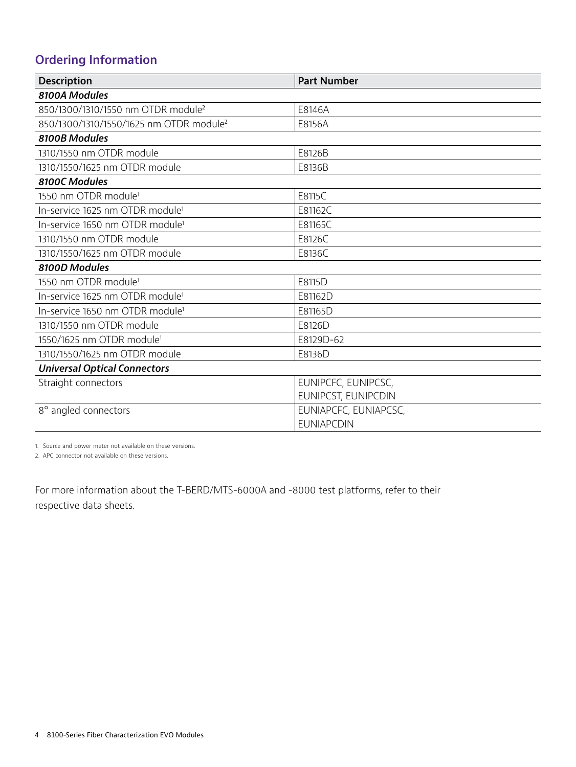# **Ordering Information**

| <b>Description</b>                                  | <b>Part Number</b>    |  |  |  |
|-----------------------------------------------------|-----------------------|--|--|--|
| 8100A Modules                                       |                       |  |  |  |
| 850/1300/1310/1550 nm OTDR module <sup>2</sup>      | E8146A                |  |  |  |
| 850/1300/1310/1550/1625 nm OTDR module <sup>2</sup> | E8156A                |  |  |  |
| 8100B Modules                                       |                       |  |  |  |
| 1310/1550 nm OTDR module                            | E8126B                |  |  |  |
| 1310/1550/1625 nm OTDR module                       | E8136B                |  |  |  |
| 8100C Modules                                       |                       |  |  |  |
| 1550 nm OTDR module <sup>1</sup>                    | E8115C                |  |  |  |
| In-service 1625 nm OTDR module <sup>1</sup>         | E81162C               |  |  |  |
| In-service 1650 nm OTDR module <sup>1</sup>         | E81165C               |  |  |  |
| 1310/1550 nm OTDR module                            | E8126C                |  |  |  |
| 1310/1550/1625 nm OTDR module                       | E8136C                |  |  |  |
| 8100D Modules                                       |                       |  |  |  |
| 1550 nm OTDR module <sup>1</sup>                    | E8115D                |  |  |  |
| In-service 1625 nm OTDR module <sup>1</sup>         | E81162D               |  |  |  |
| In-service 1650 nm OTDR module <sup>1</sup>         | E81165D               |  |  |  |
| 1310/1550 nm OTDR module                            | E8126D                |  |  |  |
| 1550/1625 nm OTDR module <sup>1</sup>               | E8129D-62             |  |  |  |
| 1310/1550/1625 nm OTDR module                       | E8136D                |  |  |  |
| <b>Universal Optical Connectors</b>                 |                       |  |  |  |
| Straight connectors                                 | EUNIPCFC, EUNIPCSC,   |  |  |  |
|                                                     | EUNIPCST, EUNIPCDIN   |  |  |  |
| 8° angled connectors                                | EUNIAPCFC, EUNIAPCSC, |  |  |  |
|                                                     | <b>EUNIAPCDIN</b>     |  |  |  |

1. Source and power meter not available on these versions.

2. APC connector not available on these versions.

For more information about the T-BERD/MTS-6000A and -8000 test platforms, refer to their respective data sheets.